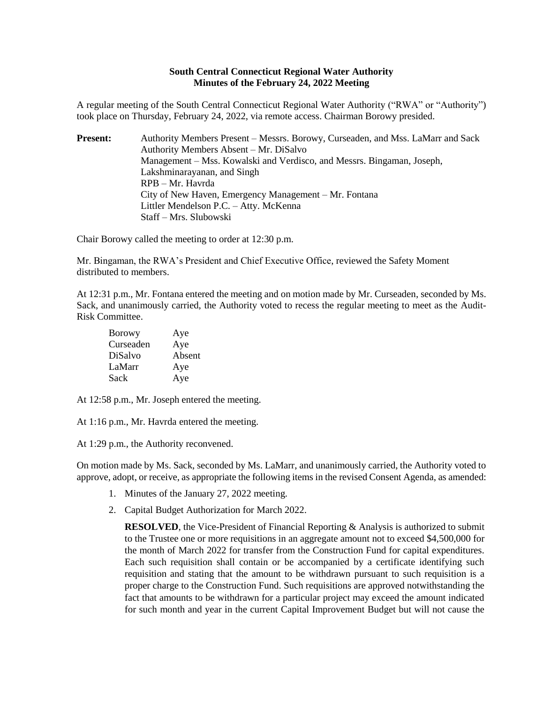## **South Central Connecticut Regional Water Authority Minutes of the February 24, 2022 Meeting**

A regular meeting of the South Central Connecticut Regional Water Authority ("RWA" or "Authority") took place on Thursday, February 24, 2022, via remote access. Chairman Borowy presided.

**Present:** Authority Members Present – Messrs. Borowy, Curseaden, and Mss. LaMarr and Sack Authority Members Absent – Mr. DiSalvo Management – Mss. Kowalski and Verdisco, and Messrs. Bingaman, Joseph, Lakshminarayanan, and Singh RPB – Mr. Havrda City of New Haven, Emergency Management – Mr. Fontana Littler Mendelson P.C. – Atty. McKenna Staff – Mrs. Slubowski

Chair Borowy called the meeting to order at 12:30 p.m.

Mr. Bingaman, the RWA's President and Chief Executive Office, reviewed the Safety Moment distributed to members.

At 12:31 p.m., Mr. Fontana entered the meeting and on motion made by Mr. Curseaden, seconded by Ms. Sack, and unanimously carried, the Authority voted to recess the regular meeting to meet as the Audit-Risk Committee.

| Borowy    | Aye    |
|-----------|--------|
| Curseaden | Aye    |
| DiSalvo   | Absent |
| LaMarr    | Aye    |
| Sack      | Aye    |

At 12:58 p.m., Mr. Joseph entered the meeting.

At 1:16 p.m., Mr. Havrda entered the meeting.

At 1:29 p.m., the Authority reconvened.

On motion made by Ms. Sack, seconded by Ms. LaMarr, and unanimously carried, the Authority voted to approve, adopt, or receive, as appropriate the following items in the revised Consent Agenda, as amended:

- 1. Minutes of the January 27, 2022 meeting.
- 2. Capital Budget Authorization for March 2022.

**RESOLVED**, the Vice-President of Financial Reporting & Analysis is authorized to submit to the Trustee one or more requisitions in an aggregate amount not to exceed \$4,500,000 for the month of March 2022 for transfer from the Construction Fund for capital expenditures. Each such requisition shall contain or be accompanied by a certificate identifying such requisition and stating that the amount to be withdrawn pursuant to such requisition is a proper charge to the Construction Fund. Such requisitions are approved notwithstanding the fact that amounts to be withdrawn for a particular project may exceed the amount indicated for such month and year in the current Capital Improvement Budget but will not cause the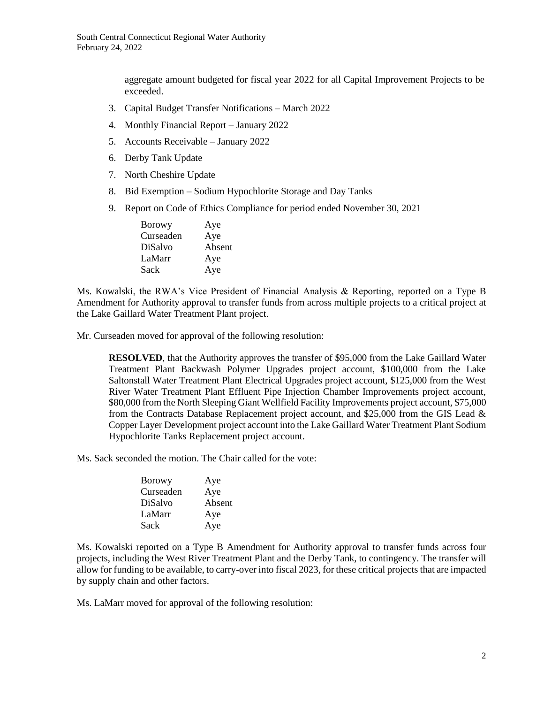aggregate amount budgeted for fiscal year 2022 for all Capital Improvement Projects to be exceeded.

- 3. Capital Budget Transfer Notifications March 2022
- 4. Monthly Financial Report January 2022
- 5. Accounts Receivable January 2022
- 6. Derby Tank Update
- 7. North Cheshire Update
- 8. Bid Exemption Sodium Hypochlorite Storage and Day Tanks
- 9. Report on Code of Ethics Compliance for period ended November 30, 2021

| Aye    |
|--------|
| Aye    |
| Absent |
| Aye    |
| Aye    |
|        |

Ms. Kowalski, the RWA's Vice President of Financial Analysis & Reporting, reported on a Type B Amendment for Authority approval to transfer funds from across multiple projects to a critical project at the Lake Gaillard Water Treatment Plant project.

Mr. Curseaden moved for approval of the following resolution:

**RESOLVED**, that the Authority approves the transfer of \$95,000 from the Lake Gaillard Water Treatment Plant Backwash Polymer Upgrades project account, \$100,000 from the Lake Saltonstall Water Treatment Plant Electrical Upgrades project account, \$125,000 from the West River Water Treatment Plant Effluent Pipe Injection Chamber Improvements project account, \$80,000 from the North Sleeping Giant Wellfield Facility Improvements project account, \$75,000 from the Contracts Database Replacement project account, and \$25,000 from the GIS Lead & Copper Layer Development project account into the Lake Gaillard Water Treatment Plant Sodium Hypochlorite Tanks Replacement project account.

Ms. Sack seconded the motion. The Chair called for the vote:

| Aye    |
|--------|
| Aye    |
| Absent |
| Aye    |
| Aye    |
|        |

Ms. Kowalski reported on a Type B Amendment for Authority approval to transfer funds across four projects, including the West River Treatment Plant and the Derby Tank, to contingency. The transfer will allow for funding to be available, to carry-over into fiscal 2023, for these critical projects that are impacted by supply chain and other factors.

Ms. LaMarr moved for approval of the following resolution: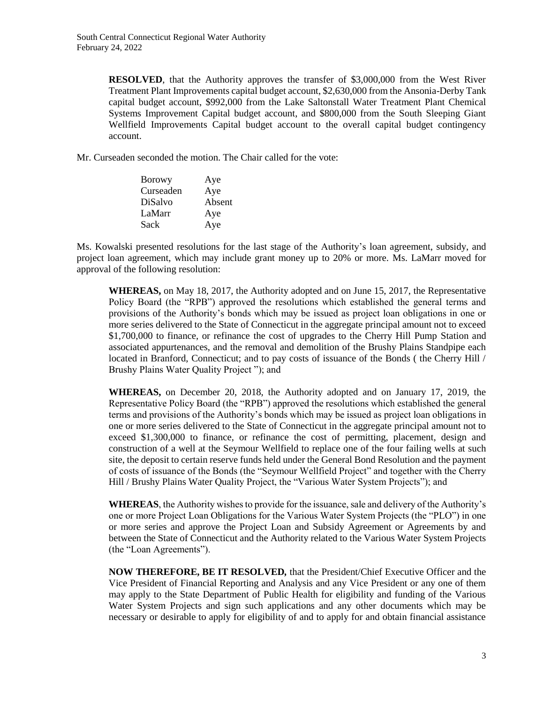**RESOLVED**, that the Authority approves the transfer of \$3,000,000 from the West River Treatment Plant Improvements capital budget account, \$2,630,000 from the Ansonia-Derby Tank capital budget account, \$992,000 from the Lake Saltonstall Water Treatment Plant Chemical Systems Improvement Capital budget account, and \$800,000 from the South Sleeping Giant Wellfield Improvements Capital budget account to the overall capital budget contingency account.

Mr. Curseaden seconded the motion. The Chair called for the vote:

| <b>Borowy</b> | Aye    |
|---------------|--------|
| Curseaden     | Aye    |
| DiSalvo       | Absent |
| LaMarr        | Aye    |
| Sack          | Aye    |
|               |        |

Ms. Kowalski presented resolutions for the last stage of the Authority's loan agreement, subsidy, and project loan agreement, which may include grant money up to 20% or more. Ms. LaMarr moved for approval of the following resolution:

**WHEREAS,** on May 18, 2017, the Authority adopted and on June 15, 2017, the Representative Policy Board (the "RPB") approved the resolutions which established the general terms and provisions of the Authority's bonds which may be issued as project loan obligations in one or more series delivered to the State of Connecticut in the aggregate principal amount not to exceed \$1,700,000 to finance, or refinance the cost of upgrades to the Cherry Hill Pump Station and associated appurtenances, and the removal and demolition of the Brushy Plains Standpipe each located in Branford, Connecticut; and to pay costs of issuance of the Bonds (the Cherry Hill / Brushy Plains Water Quality Project "); and

**WHEREAS,** on December 20, 2018, the Authority adopted and on January 17, 2019, the Representative Policy Board (the "RPB") approved the resolutions which established the general terms and provisions of the Authority's bonds which may be issued as project loan obligations in one or more series delivered to the State of Connecticut in the aggregate principal amount not to exceed \$1,300,000 to finance, or refinance the cost of permitting, placement, design and construction of a well at the Seymour Wellfield to replace one of the four failing wells at such site, the deposit to certain reserve funds held under the General Bond Resolution and the payment of costs of issuance of the Bonds (the "Seymour Wellfield Project" and together with the Cherry Hill / Brushy Plains Water Quality Project, the "Various Water System Projects"); and

**WHEREAS**, the Authority wishes to provide for the issuance, sale and delivery of the Authority's one or more Project Loan Obligations for the Various Water System Projects (the "PLO") in one or more series and approve the Project Loan and Subsidy Agreement or Agreements by and between the State of Connecticut and the Authority related to the Various Water System Projects (the "Loan Agreements").

**NOW THEREFORE, BE IT RESOLVED***,* that the President/Chief Executive Officer and the Vice President of Financial Reporting and Analysis and any Vice President or any one of them may apply to the State Department of Public Health for eligibility and funding of the Various Water System Projects and sign such applications and any other documents which may be necessary or desirable to apply for eligibility of and to apply for and obtain financial assistance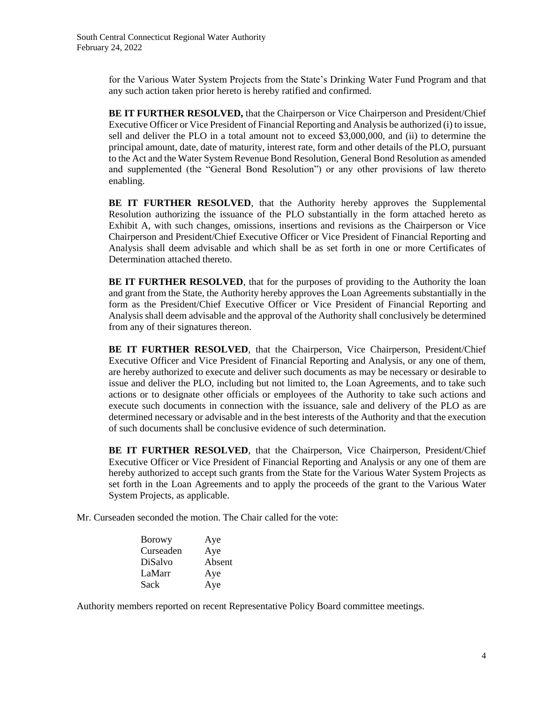for the Various Water System Projects from the State's Drinking Water Fund Program and that any such action taken prior hereto is hereby ratified and confirmed.

**BE IT FURTHER RESOLVED,** that the Chairperson or Vice Chairperson and President/Chief Executive Officer or Vice President of Financial Reporting and Analysis be authorized (i) to issue, sell and deliver the PLO in a total amount not to exceed \$3,000,000, and (ii) to determine the principal amount, date, date of maturity, interest rate, form and other details of the PLO, pursuant to the Act and the Water System Revenue Bond Resolution, General Bond Resolution as amended and supplemented (the "General Bond Resolution") or any other provisions of law thereto enabling.

**BE IT FURTHER RESOLVED***,* that the Authority hereby approves the Supplemental Resolution authorizing the issuance of the PLO substantially in the form attached hereto as Exhibit A, with such changes, omissions, insertions and revisions as the Chairperson or Vice Chairperson and President/Chief Executive Officer or Vice President of Financial Reporting and Analysis shall deem advisable and which shall be as set forth in one or more Certificates of Determination attached thereto.

**BE IT FURTHER RESOLVED***,* that for the purposes of providing to the Authority the loan and grant from the State, the Authority hereby approves the Loan Agreements substantially in the form as the President/Chief Executive Officer or Vice President of Financial Reporting and Analysis shall deem advisable and the approval of the Authority shall conclusively be determined from any of their signatures thereon.

**BE IT FURTHER RESOLVED**, that the Chairperson, Vice Chairperson, President/Chief Executive Officer and Vice President of Financial Reporting and Analysis, or any one of them, are hereby authorized to execute and deliver such documents as may be necessary or desirable to issue and deliver the PLO, including but not limited to, the Loan Agreements, and to take such actions or to designate other officials or employees of the Authority to take such actions and execute such documents in connection with the issuance, sale and delivery of the PLO as are determined necessary or advisable and in the best interests of the Authority and that the execution of such documents shall be conclusive evidence of such determination.

**BE IT FURTHER RESOLVED**, that the Chairperson, Vice Chairperson, President/Chief Executive Officer or Vice President of Financial Reporting and Analysis or any one of them are hereby authorized to accept such grants from the State for the Various Water System Projects as set forth in the Loan Agreements and to apply the proceeds of the grant to the Various Water System Projects, as applicable.

Mr. Curseaden seconded the motion. The Chair called for the vote:

| <b>Borowy</b>  | Aye    |
|----------------|--------|
| Curseaden      | Aye    |
| <b>DiSalvo</b> | Absent |
| LaMarr         | Aye    |
| Sack           | Aye    |

Authority members reported on recent Representative Policy Board committee meetings.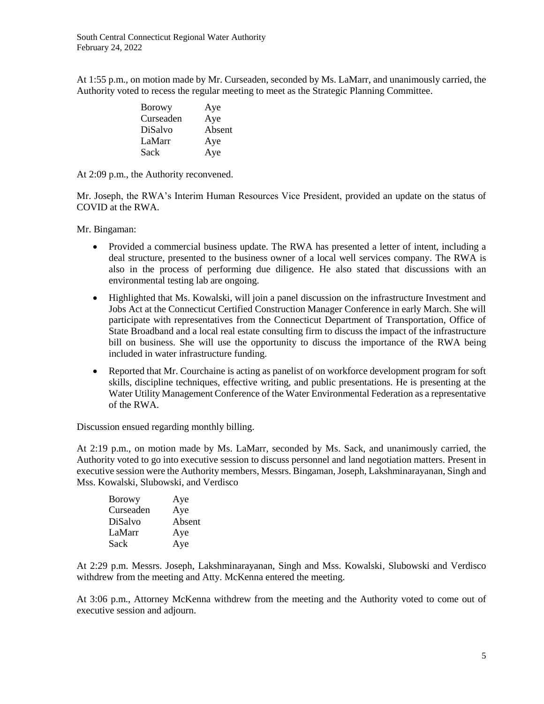At 1:55 p.m., on motion made by Mr. Curseaden, seconded by Ms. LaMarr, and unanimously carried, the Authority voted to recess the regular meeting to meet as the Strategic Planning Committee.

| <b>Borowy</b> | Aye    |
|---------------|--------|
| Curseaden     | Aye    |
| DiSalvo       | Absent |
| LaMarr        | Aye    |
| Sack          | Aye    |

At 2:09 p.m., the Authority reconvened.

Mr. Joseph, the RWA's Interim Human Resources Vice President, provided an update on the status of COVID at the RWA.

Mr. Bingaman:

- Provided a commercial business update. The RWA has presented a letter of intent, including a deal structure, presented to the business owner of a local well services company. The RWA is also in the process of performing due diligence. He also stated that discussions with an environmental testing lab are ongoing.
- Highlighted that Ms. Kowalski, will join a panel discussion on the infrastructure Investment and Jobs Act at the Connecticut Certified Construction Manager Conference in early March. She will participate with representatives from the Connecticut Department of Transportation, Office of State Broadband and a local real estate consulting firm to discuss the impact of the infrastructure bill on business. She will use the opportunity to discuss the importance of the RWA being included in water infrastructure funding.
- Reported that Mr. Courchaine is acting as panelist of on workforce development program for soft skills, discipline techniques, effective writing, and public presentations. He is presenting at the Water Utility Management Conference of the Water Environmental Federation as a representative of the RWA.

Discussion ensued regarding monthly billing.

At 2:19 p.m., on motion made by Ms. LaMarr, seconded by Ms. Sack, and unanimously carried, the Authority voted to go into executive session to discuss personnel and land negotiation matters. Present in executive session were the Authority members, Messrs. Bingaman, Joseph, Lakshminarayanan, Singh and Mss. Kowalski, Slubowski, and Verdisco

| <b>Borowy</b> | Aye    |
|---------------|--------|
| Curseaden     | Aye    |
| DiSalvo       | Absent |
| LaMarr        | Aye    |
| Sack          | Aye    |

At 2:29 p.m. Messrs. Joseph, Lakshminarayanan, Singh and Mss. Kowalski, Slubowski and Verdisco withdrew from the meeting and Atty. McKenna entered the meeting.

At 3:06 p.m., Attorney McKenna withdrew from the meeting and the Authority voted to come out of executive session and adjourn.